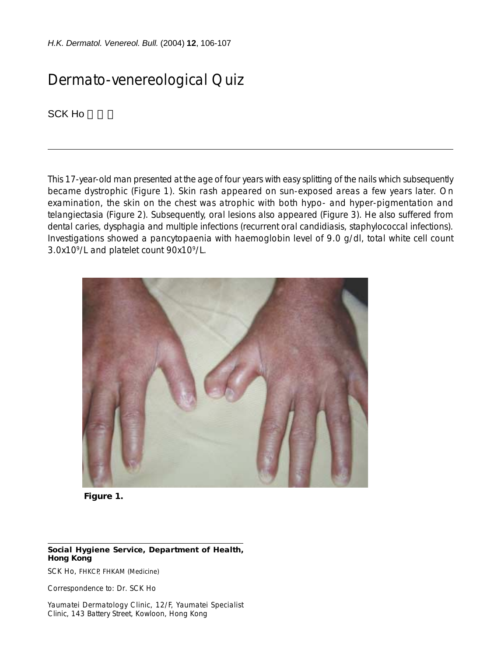*H.K. Dermatol. Venereol. Bull.* (2004) **12**, 106-107

## Dermato-venereological Quiz

SCK Ho

This 17-year-old man presented at the age of four years with easy splitting of the nails which subsequently became dystrophic (Figure 1). Skin rash appeared on sun-exposed areas a few years later. On examination, the skin on the chest was atrophic with both hypo- and hyper-pigmentation and telangiectasia (Figure 2). Subsequently, oral lesions also appeared (Figure 3). He also suffered from dental caries, dysphagia and multiple infections (recurrent oral candidiasis, staphylococcal infections). Investigations showed a pancytopaenia with haemoglobin level of 9.0 g/dl, total white cell count 3.0x109/L and platelet count 90x109/L.





## **Social Hygiene Service, Department of Health, Hong Kong**

SCK Ho, FHKCP, FHKAM (Medicine)

Correspondence to: Dr. SCK Ho

Yaumatei Dermatology Clinic, 12/F, Yaumatei Specialist Clinic, 143 Battery Street, Kowloon, Hong Kong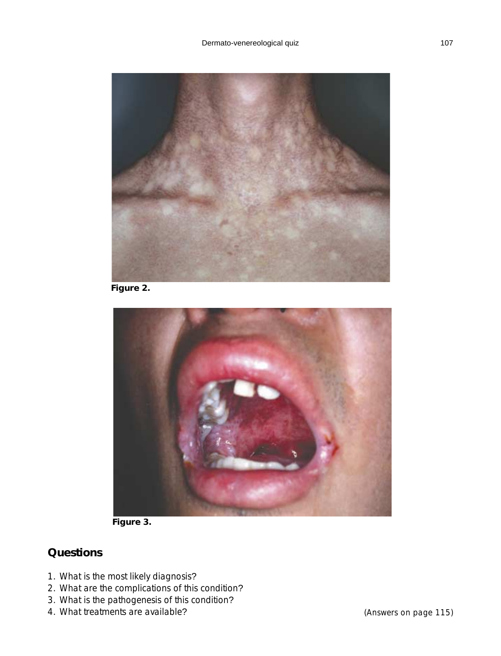

**Figure 2.**



**Figure 3.**

## **Questions**

- 1. What is the most likely diagnosis?
- 2. What are the complications of this condition?
- 3. What is the pathogenesis of this condition?
- 4. What treatments are available? (Answers on page 115)